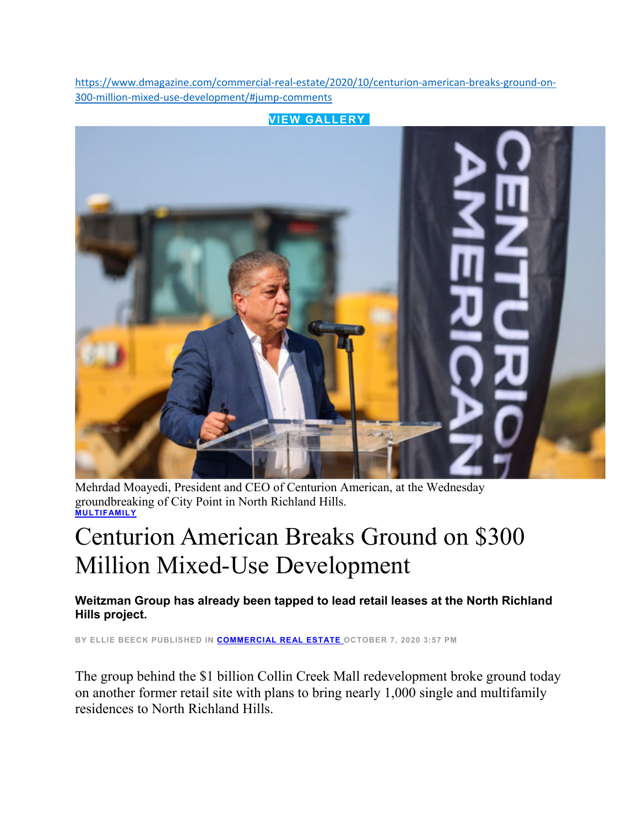https://www.dmagazine.com/commercial-real-estate/2020/10/centurion-american-breaks-ground-on-300‐million‐mixed‐use‐development/#jump‐comments



Mehrdad Moayedi, President and CEO of Centurion American, at the Wednesday groundbreaking of City Point in North Richland Hills. **MULTIFAMILY**

## Centurion American Breaks Ground on \$300 Million Mixed-Use Development

**Weitzman Group has already been tapped to lead retail leases at the North Richland Hills project.** 

**BY ELLIE BEECK PUBLISHED IN COMMERCIAL REAL ESTATE OCTOBER 7, 2020 3:57 PM** 

The group behind the \$1 billion Collin Creek Mall redevelopment broke ground today on another former retail site with plans to bring nearly 1,000 single and multifamily residences to North Richland Hills.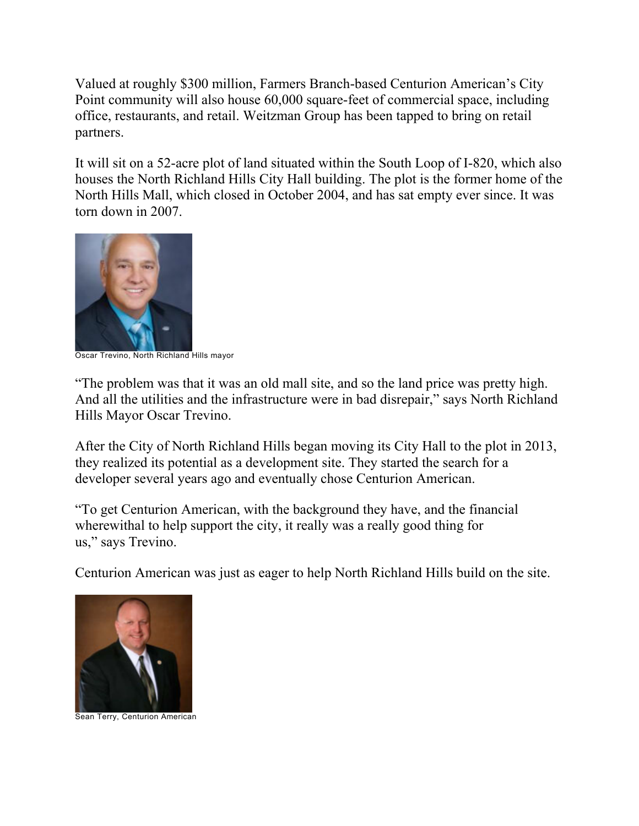Valued at roughly \$300 million, Farmers Branch-based Centurion American's City Point community will also house 60,000 square-feet of commercial space, including office, restaurants, and retail. Weitzman Group has been tapped to bring on retail partners.

It will sit on a 52-acre plot of land situated within the South Loop of I-820, which also houses the North Richland Hills City Hall building. The plot is the former home of the North Hills Mall, which closed in October 2004, and has sat empty ever since. It was torn down in 2007.



Oscar Trevino, North Richland Hills mayor

"The problem was that it was an old mall site, and so the land price was pretty high. And all the utilities and the infrastructure were in bad disrepair," says North Richland Hills Mayor Oscar Trevino.

After the City of North Richland Hills began moving its City Hall to the plot in 2013, they realized its potential as a development site. They started the search for a developer several years ago and eventually chose Centurion American.

"To get Centurion American, with the background they have, and the financial wherewithal to help support the city, it really was a really good thing for us," says Trevino.

Centurion American was just as eager to help North Richland Hills build on the site.



Sean Terry, Centurion American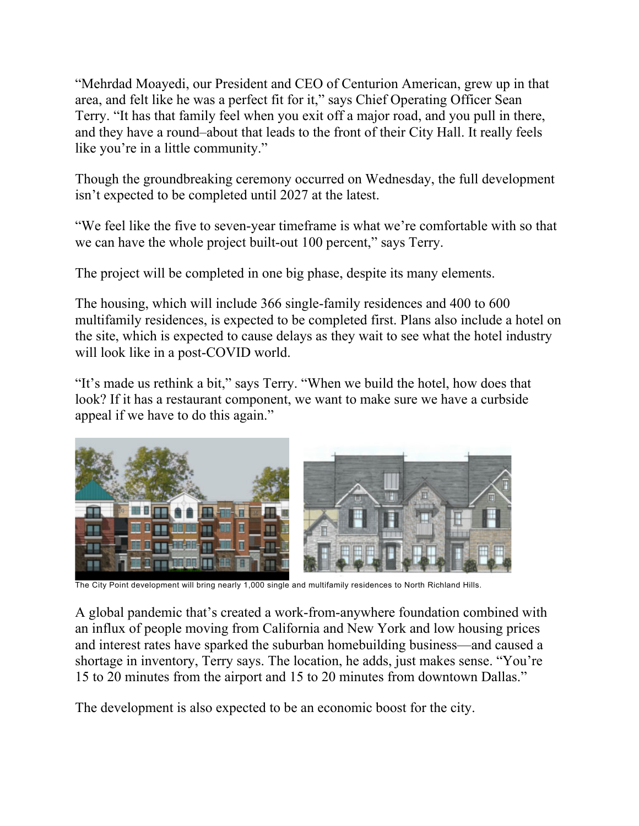"Mehrdad Moayedi, our President and CEO of Centurion American, grew up in that area, and felt like he was a perfect fit for it," says Chief Operating Officer Sean Terry. "It has that family feel when you exit off a major road, and you pull in there, and they have a round–about that leads to the front of their City Hall. It really feels like you're in a little community."

Though the groundbreaking ceremony occurred on Wednesday, the full development isn't expected to be completed until 2027 at the latest.

"We feel like the five to seven-year timeframe is what we're comfortable with so that we can have the whole project built-out 100 percent," says Terry.

The project will be completed in one big phase, despite its many elements.

The housing, which will include 366 single-family residences and 400 to 600 multifamily residences, is expected to be completed first. Plans also include a hotel on the site, which is expected to cause delays as they wait to see what the hotel industry will look like in a post-COVID world.

"It's made us rethink a bit," says Terry. "When we build the hotel, how does that look? If it has a restaurant component, we want to make sure we have a curbside appeal if we have to do this again."



The City Point development will bring nearly 1,000 single and multifamily residences to North Richland Hills.

A global pandemic that's created a work-from-anywhere foundation combined with an influx of people moving from California and New York and low housing prices and interest rates have sparked the suburban homebuilding business—and caused a shortage in inventory, Terry says. The location, he adds, just makes sense. "You're 15 to 20 minutes from the airport and 15 to 20 minutes from downtown Dallas."

The development is also expected to be an economic boost for the city.